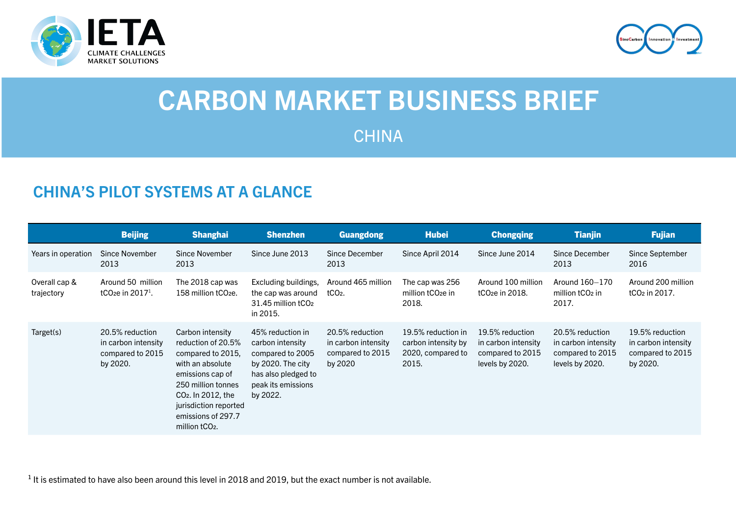



# CARBON MARKET BUSINESS BRIEF

CHINA

# CHINA'S PILOT SYSTEMS AT A GLANCE

|                             | <b>Beijing</b>                                                         | <b>Shanghai</b>                                                                                                                                                                                                                          | <b>Shenzhen</b>                                                                                                                        | <b>Guangdong</b>                                                      | <b>Hubei</b>                                                            | <b>Chongqing</b>                                                              | <b>Tianjin</b>                                                                | <b>Fujian</b>                                                          |
|-----------------------------|------------------------------------------------------------------------|------------------------------------------------------------------------------------------------------------------------------------------------------------------------------------------------------------------------------------------|----------------------------------------------------------------------------------------------------------------------------------------|-----------------------------------------------------------------------|-------------------------------------------------------------------------|-------------------------------------------------------------------------------|-------------------------------------------------------------------------------|------------------------------------------------------------------------|
| Years in operation          | Since November<br>2013                                                 | Since November<br>2013                                                                                                                                                                                                                   | Since June 2013                                                                                                                        | Since December<br>2013                                                | Since April 2014                                                        | Since June 2014                                                               | Since December<br>2013                                                        | Since September<br>2016                                                |
| Overall cap &<br>trajectory | Around 50 million<br>tCO <sub>2</sub> e in $20171$ .                   | The 2018 cap was<br>158 million tCO <sub>2e</sub> .                                                                                                                                                                                      | Excluding buildings,<br>the cap was around<br>31.45 million tCO <sub>2</sub><br>in 2015.                                               | Around 465 million<br>tCO <sub>2</sub> .                              | The cap was 256<br>million tCO <sub>2</sub> e in<br>2018.               | Around 100 million<br>tCO <sub>2</sub> e in 2018.                             | Around 160-170<br>million tCO <sub>2</sub> in<br>2017.                        | Around 200 million<br>tCO <sub>2</sub> in 2017.                        |
| Target(s)                   | 20.5% reduction<br>in carbon intensity<br>compared to 2015<br>by 2020. | Carbon intensity<br>reduction of 20.5%<br>compared to 2015.<br>with an absolute<br>emissions cap of<br>250 million tonnes<br>CO <sub>2</sub> . In 2012, the<br>jurisdiction reported<br>emissions of 297.7<br>million tCO <sub>2</sub> . | 45% reduction in<br>carbon intensity<br>compared to 2005<br>by 2020. The city<br>has also pledged to<br>peak its emissions<br>by 2022. | 20.5% reduction<br>in carbon intensity<br>compared to 2015<br>by 2020 | 19.5% reduction in<br>carbon intensity by<br>2020, compared to<br>2015. | 19.5% reduction<br>in carbon intensity<br>compared to 2015<br>levels by 2020. | 20.5% reduction<br>in carbon intensity<br>compared to 2015<br>levels by 2020. | 19.5% reduction<br>in carbon intensity<br>compared to 2015<br>by 2020. |

 $1$  It is estimated to have also been around this level in 2018 and 2019, but the exact number is not available.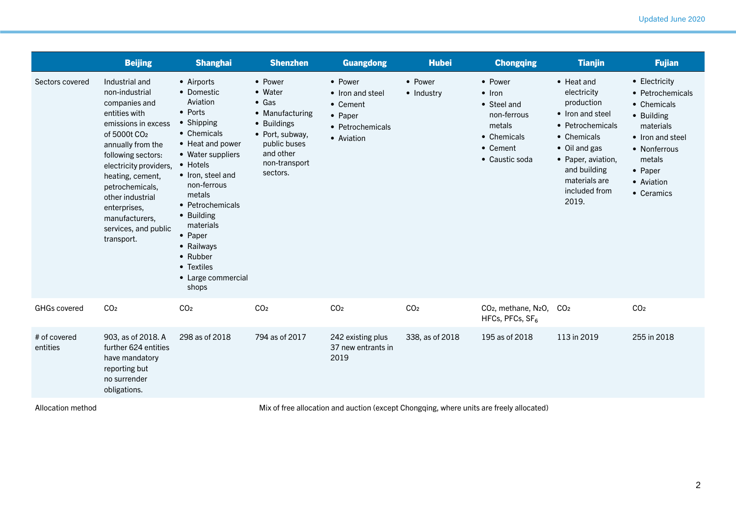|                          | <b>Beijing</b>                                                                                                                                                                                                                                                                                                                | <b>Shanghai</b>                                                                                                                                                                                                                                                                                                  | <b>Shenzhen</b>                                                                                                                                    | <b>Guangdong</b>                                                                     | <b>Hubei</b>          | <b>Chongqing</b>                                                                                               | <b>Tianjin</b>                                                                                                                                                                                           | <b>Fujian</b>                                                                                                                                                    |
|--------------------------|-------------------------------------------------------------------------------------------------------------------------------------------------------------------------------------------------------------------------------------------------------------------------------------------------------------------------------|------------------------------------------------------------------------------------------------------------------------------------------------------------------------------------------------------------------------------------------------------------------------------------------------------------------|----------------------------------------------------------------------------------------------------------------------------------------------------|--------------------------------------------------------------------------------------|-----------------------|----------------------------------------------------------------------------------------------------------------|----------------------------------------------------------------------------------------------------------------------------------------------------------------------------------------------------------|------------------------------------------------------------------------------------------------------------------------------------------------------------------|
| Sectors covered          | Industrial and<br>non-industrial<br>companies and<br>entities with<br>emissions in excess<br>of 5000t CO <sub>2</sub><br>annually from the<br>following sectors:<br>electricity providers,<br>heating, cement,<br>petrochemicals,<br>other industrial<br>enterprises,<br>manufacturers,<br>services, and public<br>transport. | • Airports<br>• Domestic<br>Aviation<br>• Ports<br>• Shipping<br>• Chemicals<br>• Heat and power<br>• Water suppliers<br>• Hotels<br>• Iron, steel and<br>non-ferrous<br>metals<br>• Petrochemicals<br>• Building<br>materials<br>• Paper<br>• Railways<br>• Rubber<br>• Textiles<br>• Large commercial<br>shops | • Power<br>• Water<br>$\bullet$ Gas<br>• Manufacturing<br>• Buildings<br>• Port, subway,<br>public buses<br>and other<br>non-transport<br>sectors. | • Power<br>• Iron and steel<br>• Cement<br>• Paper<br>• Petrochemicals<br>• Aviation | • Power<br>• Industry | • Power<br>$\bullet$ Iron<br>• Steel and<br>non-ferrous<br>metals<br>• Chemicals<br>• Cement<br>• Caustic soda | $\bullet$ Heat and<br>electricity<br>production<br>• Iron and steel<br>• Petrochemicals<br>• Chemicals<br>• Oil and gas<br>• Paper, aviation,<br>and building<br>materials are<br>included from<br>2019. | • Electricity<br>• Petrochemicals<br>• Chemicals<br>• Building<br>materials<br>• Iron and steel<br>• Nonferrous<br>metals<br>• Paper<br>• Aviation<br>• Ceramics |
| <b>GHGs covered</b>      | CO <sub>2</sub>                                                                                                                                                                                                                                                                                                               | CO <sub>2</sub>                                                                                                                                                                                                                                                                                                  | CO <sub>2</sub>                                                                                                                                    | CO <sub>2</sub>                                                                      | CO <sub>2</sub>       | CO <sub>2</sub> , methane, N <sub>2</sub> O,<br>HFCs, PFCs, $SF6$                                              | CO <sub>2</sub>                                                                                                                                                                                          | CO <sub>2</sub>                                                                                                                                                  |
| # of covered<br>entities | 903, as of 2018. A<br>further 624 entities<br>have mandatory<br>reporting but<br>no surrender<br>obligations.                                                                                                                                                                                                                 | 298 as of 2018                                                                                                                                                                                                                                                                                                   | 794 as of 2017                                                                                                                                     | 242 existing plus<br>37 new entrants in<br>2019                                      | 338, as of 2018       | 195 as of 2018                                                                                                 | 113 in 2019                                                                                                                                                                                              | 255 in 2018                                                                                                                                                      |
| $A + I = I + I$          |                                                                                                                                                                                                                                                                                                                               |                                                                                                                                                                                                                                                                                                                  |                                                                                                                                                    |                                                                                      |                       | $\sim$ $\sim$ $\sim$ $\sim$ $\sim$ $\sim$ $\sim$                                                               |                                                                                                                                                                                                          |                                                                                                                                                                  |

Allocation method

Mix of free allocation and auction (except Chongqing, where units are freely allocated)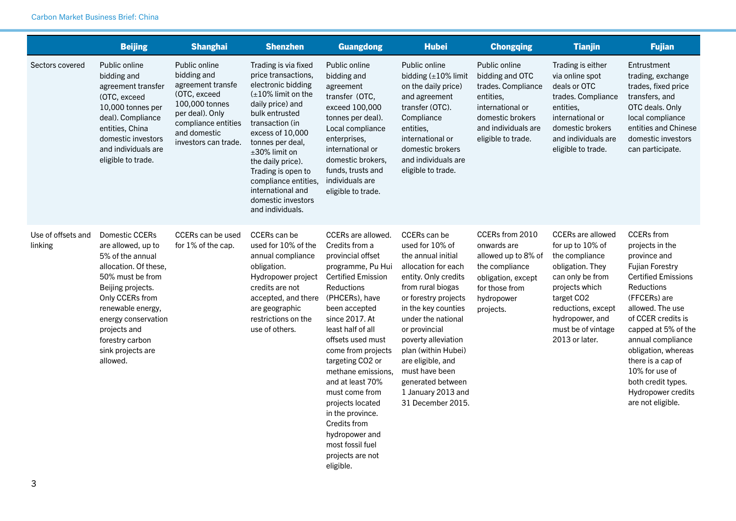|                               | <b>Beijing</b>                                                                                                                                                                                                                                                | <b>Shanghai</b>                                                                                                                                                       | <b>Shenzhen</b>                                                                                                                                                                                                                                                                                                                                   | <b>Guangdong</b>                                                                                                                                                                                                                                                                                                                                                                                                                                                     | <b>Hubei</b>                                                                                                                                                                                                                                                                                                                                                         | <b>Chongqing</b>                                                                                                                                         | <b>Tianjin</b>                                                                                                                                                                                                          | <b>Fujian</b>                                                                                                                                                                                                                                                                                                                                                   |
|-------------------------------|---------------------------------------------------------------------------------------------------------------------------------------------------------------------------------------------------------------------------------------------------------------|-----------------------------------------------------------------------------------------------------------------------------------------------------------------------|---------------------------------------------------------------------------------------------------------------------------------------------------------------------------------------------------------------------------------------------------------------------------------------------------------------------------------------------------|----------------------------------------------------------------------------------------------------------------------------------------------------------------------------------------------------------------------------------------------------------------------------------------------------------------------------------------------------------------------------------------------------------------------------------------------------------------------|----------------------------------------------------------------------------------------------------------------------------------------------------------------------------------------------------------------------------------------------------------------------------------------------------------------------------------------------------------------------|----------------------------------------------------------------------------------------------------------------------------------------------------------|-------------------------------------------------------------------------------------------------------------------------------------------------------------------------------------------------------------------------|-----------------------------------------------------------------------------------------------------------------------------------------------------------------------------------------------------------------------------------------------------------------------------------------------------------------------------------------------------------------|
| Sectors covered               | Public online<br>bidding and<br>agreement transfer<br>(OTC, exceed<br>10,000 tonnes per<br>deal). Compliance<br>entities, China<br>domestic investors<br>and individuals are<br>eligible to trade.                                                            | Public online<br>bidding and<br>agreement transfe<br>(OTC, exceed<br>100,000 tonnes<br>per deal). Only<br>compliance entities<br>and domestic<br>investors can trade. | Trading is via fixed<br>price transactions,<br>electronic bidding<br>$(\pm 10\%$ limit on the<br>daily price) and<br>bulk entrusted<br>transaction (in<br>excess of 10,000<br>tonnes per deal,<br>±30% limit on<br>the daily price).<br>Trading is open to<br>compliance entities,<br>international and<br>domestic investors<br>and individuals. | Public online<br>bidding and<br>agreement<br>transfer (OTC,<br>exceed 100,000<br>tonnes per deal).<br>Local compliance<br>enterprises,<br>international or<br>domestic brokers,<br>funds, trusts and<br>individuals are<br>eligible to trade.                                                                                                                                                                                                                        | Public online<br>bidding $(\pm 10\%$ limit<br>on the daily price)<br>and agreement<br>transfer (OTC).<br>Compliance<br>entities,<br>international or<br>domestic brokers<br>and individuals are<br>eligible to trade.                                                                                                                                                | Public online<br>bidding and OTC<br>trades. Compliance<br>entities.<br>international or<br>domestic brokers<br>and individuals are<br>eligible to trade. | Trading is either<br>via online spot<br>deals or OTC<br>trades. Compliance<br>entities,<br>international or<br>domestic brokers<br>and individuals are<br>eligible to trade.                                            | Entrustment<br>trading, exchange<br>trades, fixed price<br>transfers, and<br>OTC deals. Only<br>local compliance<br>entities and Chinese<br>domestic investors<br>can participate.                                                                                                                                                                              |
| Use of offsets and<br>linking | Domestic CCERs<br>are allowed, up to<br>5% of the annual<br>allocation. Of these,<br>50% must be from<br>Beijing projects.<br>Only CCERs from<br>renewable energy,<br>energy conservation<br>projects and<br>forestry carbon<br>sink projects are<br>allowed. | <b>CCERs can be used</b><br>for 1% of the cap.                                                                                                                        | CCERs can be<br>used for 10% of the<br>annual compliance<br>obligation.<br>Hydropower project<br>credits are not<br>accepted, and there<br>are geographic<br>restrictions on the<br>use of others.                                                                                                                                                | <b>CCERs</b> are allowed.<br>Credits from a<br>provincial offset<br>programme, Pu Hui<br><b>Certified Emission</b><br>Reductions<br>(PHCERs), have<br>been accepted<br>since 2017. At<br>least half of all<br>offsets used must<br>come from projects<br>targeting CO2 or<br>methane emissions.<br>and at least 70%<br>must come from<br>projects located<br>in the province.<br>Credits from<br>hydropower and<br>most fossil fuel<br>projects are not<br>eligible. | CCERs can be<br>used for 10% of<br>the annual initial<br>allocation for each<br>entity. Only credits<br>from rural biogas<br>or forestry projects<br>in the key counties<br>under the national<br>or provincial<br>poverty alleviation<br>plan (within Hubei)<br>are eligible, and<br>must have been<br>generated between<br>1 January 2013 and<br>31 December 2015. | CCERs from 2010<br>onwards are<br>allowed up to 8% of<br>the compliance<br>obligation, except<br>for those from<br>hydropower<br>projects.               | <b>CCERs are allowed</b><br>for up to 10% of<br>the compliance<br>obligation. They<br>can only be from<br>projects which<br>target CO2<br>reductions, except<br>hydropower, and<br>must be of vintage<br>2013 or later. | <b>CCERs</b> from<br>projects in the<br>province and<br><b>Fujian Forestry</b><br><b>Certified Emissions</b><br>Reductions<br>(FFCERs) are<br>allowed. The use<br>of CCER credits is<br>capped at 5% of the<br>annual compliance<br>obligation, whereas<br>there is a cap of<br>10% for use of<br>both credit types.<br>Hydropower credits<br>are not eligible. |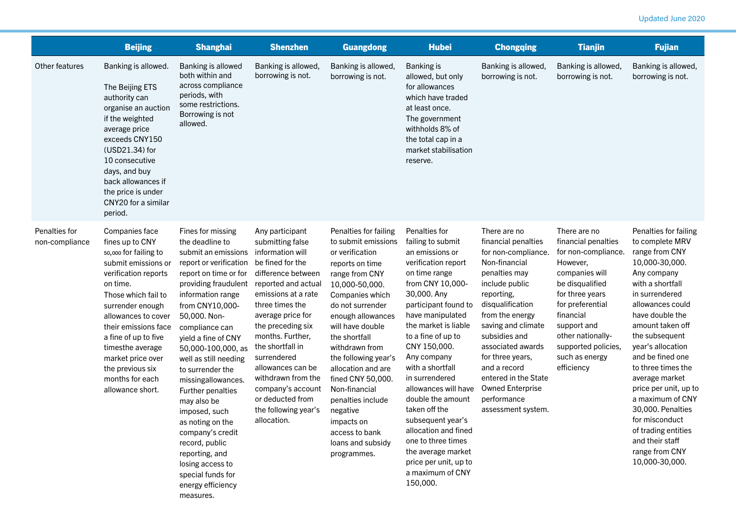|                                 | <b>Beijing</b>                                                                                                                                                                                                                                                                                                                              | <b>Shanghai</b>                                                                                                                                                                                                                                                                                                                                                                                                                                                                                                                              | <b>Shenzhen</b>                                                                                                                                                                                                                                                                                                                                                                                | <b>Guangdong</b>                                                                                                                                                                                                                                                                                                                                                                                                                   | <b>Hubei</b>                                                                                                                                                                                                                                                                                                                                                                                                                                                                                                    | <b>Chongqing</b>                                                                                                                                                                                                                                                                                                                                            | <b>Tianjin</b>                                                                                                                                                                                                                                            | <b>Fujian</b>                                                                                                                                                                                                                                                                                                                                                                                                                                                     |
|---------------------------------|---------------------------------------------------------------------------------------------------------------------------------------------------------------------------------------------------------------------------------------------------------------------------------------------------------------------------------------------|----------------------------------------------------------------------------------------------------------------------------------------------------------------------------------------------------------------------------------------------------------------------------------------------------------------------------------------------------------------------------------------------------------------------------------------------------------------------------------------------------------------------------------------------|------------------------------------------------------------------------------------------------------------------------------------------------------------------------------------------------------------------------------------------------------------------------------------------------------------------------------------------------------------------------------------------------|------------------------------------------------------------------------------------------------------------------------------------------------------------------------------------------------------------------------------------------------------------------------------------------------------------------------------------------------------------------------------------------------------------------------------------|-----------------------------------------------------------------------------------------------------------------------------------------------------------------------------------------------------------------------------------------------------------------------------------------------------------------------------------------------------------------------------------------------------------------------------------------------------------------------------------------------------------------|-------------------------------------------------------------------------------------------------------------------------------------------------------------------------------------------------------------------------------------------------------------------------------------------------------------------------------------------------------------|-----------------------------------------------------------------------------------------------------------------------------------------------------------------------------------------------------------------------------------------------------------|-------------------------------------------------------------------------------------------------------------------------------------------------------------------------------------------------------------------------------------------------------------------------------------------------------------------------------------------------------------------------------------------------------------------------------------------------------------------|
| Other features                  | Banking is allowed.<br>The Beijing ETS<br>authority can<br>organise an auction<br>if the weighted<br>average price<br>exceeds CNY150<br>(USD21.34) for<br>10 consecutive<br>days, and buy<br>back allowances if<br>the price is under<br>CNY20 for a similar<br>period.                                                                     | Banking is allowed<br>both within and<br>across compliance<br>periods, with<br>some restrictions.<br>Borrowing is not<br>allowed.                                                                                                                                                                                                                                                                                                                                                                                                            | Banking is allowed,<br>borrowing is not.                                                                                                                                                                                                                                                                                                                                                       | Banking is allowed,<br>borrowing is not.                                                                                                                                                                                                                                                                                                                                                                                           | <b>Banking is</b><br>allowed, but only<br>for allowances<br>which have traded<br>at least once.<br>The government<br>withholds 8% of<br>the total cap in a<br>market stabilisation<br>reserve.                                                                                                                                                                                                                                                                                                                  | Banking is allowed,<br>borrowing is not.                                                                                                                                                                                                                                                                                                                    | Banking is allowed,<br>borrowing is not.                                                                                                                                                                                                                  | Banking is allowed,<br>borrowing is not.                                                                                                                                                                                                                                                                                                                                                                                                                          |
| Penalties for<br>non-compliance | Companies face<br>fines up to CNY<br>50,000 for failing to<br>submit emissions or<br>verification reports<br>on time.<br>Those which fail to<br>surrender enough<br>allowances to cover<br>their emissions face<br>a fine of up to five<br>timesthe average<br>market price over<br>the previous six<br>months for each<br>allowance short. | Fines for missing<br>the deadline to<br>submit an emissions<br>report or verification<br>report on time or for<br>providing fraudulent<br>information range<br>from CNY10,000-<br>50,000. Non-<br>compliance can<br>yield a fine of CNY<br>50,000-100,000, as<br>well as still needing<br>to surrender the<br>missingallowances.<br>Further penalties<br>may also be<br>imposed, such<br>as noting on the<br>company's credit<br>record, public<br>reporting, and<br>losing access to<br>special funds for<br>energy efficiency<br>measures. | Any participant<br>submitting false<br>information will<br>be fined for the<br>difference between<br>reported and actual<br>emissions at a rate<br>three times the<br>average price for<br>the preceding six<br>months. Further,<br>the shortfall in<br>surrendered<br>allowances can be<br>withdrawn from the<br>company's account<br>or deducted from<br>the following year's<br>allocation. | Penalties for failing<br>to submit emissions<br>or verification<br>reports on time<br>range from CNY<br>10,000-50,000.<br>Companies which<br>do not surrender<br>enough allowances<br>will have double<br>the shortfall<br>withdrawn from<br>the following year's<br>allocation and are<br>fined CNY 50,000.<br>Non-financial<br>penalties include<br>negative<br>impacts on<br>access to bank<br>loans and subsidy<br>programmes. | Penalties for<br>failing to submit<br>an emissions or<br>verification report<br>on time range<br>from CNY 10,000-<br>30,000. Any<br>participant found to<br>have manipulated<br>the market is liable<br>to a fine of up to<br>CNY 150,000.<br>Any company<br>with a shortfall<br>in surrendered<br>allowances will have<br>double the amount<br>taken off the<br>subsequent year's<br>allocation and fined<br>one to three times<br>the average market<br>price per unit, up to<br>a maximum of CNY<br>150,000. | There are no<br>financial penalties<br>for non-compliance.<br>Non-financial<br>penalties may<br>include public<br>reporting,<br>disqualification<br>from the energy<br>saving and climate<br>subsidies and<br>associated awards<br>for three years,<br>and a record<br>entered in the State<br><b>Owned Enterprise</b><br>performance<br>assessment system. | There are no<br>financial penalties<br>for non-compliance<br>However,<br>companies will<br>be disqualified<br>for three years<br>for preferential<br>financial<br>support and<br>other nationally-<br>supported policies,<br>such as energy<br>efficiency | Penalties for failing<br>to complete MRV<br>range from CNY<br>10,000-30,000.<br>Any company<br>with a shortfall<br>in surrendered<br>allowances could<br>have double the<br>amount taken off<br>the subsequent<br>year's allocation<br>and be fined one<br>to three times the<br>average market<br>price per unit, up to<br>a maximum of CNY<br>30,000. Penalties<br>for misconduct<br>of trading entities<br>and their staff<br>range from CNY<br>10,000-30,000. |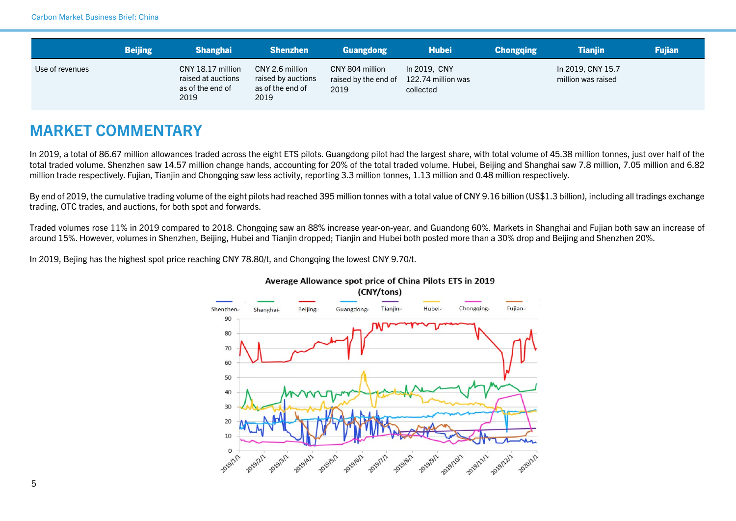|                 | <b>Beijing</b> | Shanghai                                                            | <b>Shenzhen</b>                                                   | Guangdong                                       | <b>Hubei</b>                                    | <b>Chongqing</b> | <b>Tianiin</b>                          | <b>Fujian</b> |
|-----------------|----------------|---------------------------------------------------------------------|-------------------------------------------------------------------|-------------------------------------------------|-------------------------------------------------|------------------|-----------------------------------------|---------------|
| Use of revenues |                | CNY 18.17 million<br>raised at auctions<br>as of the end of<br>2019 | CNY 2.6 million<br>raised by auctions<br>as of the end of<br>2019 | CNY 804 million<br>raised by the end of<br>2019 | In 2019, CNY<br>122.74 million was<br>collected |                  | In 2019, CNY 15.7<br>million was raised |               |

## MARKET COMMENTARY

In 2019, a total of 86.67 million allowances traded across the eight ETS pilots. Guangdong pilot had the largest share, with total volume of 45.38 million tonnes, just over half of the total traded volume. Shenzhen saw 14.57 million change hands, accounting for 20% of the total traded volume. Hubei, Beijing and Shanghai saw 7.8 million, 7.05 million and 6.82 million trade respectively. Fujian, Tianjin and Chongqing saw less activity, reporting 3.3 million tonnes, 1.13 million and 0.48 million respectively.

By end of 2019, the cumulative trading volume of the eight pilots had reached 395 million tonnes with a total value of CNY 9.16 billion (US\$1.3 billion), including all tradings exchange trading, OTC trades, and auctions, for both spot and forwards.

Traded volumes rose 11% in 2019 compared to 2018. Chongqing saw an 88% increase year-on-year, and Guandong 60%. Markets in Shanghai and Fujian both saw an increase of around 15%. However, volumes in Shenzhen, Beijing, Hubei and Tianjin dropped; Tianjin and Hubei both posted more than a 30% drop and Beijing and Shenzhen 20%.

In 2019, Bejing has the highest spot price reaching CNY 78.80/t, and Chongqing the lowest CNY 9.70/t.



### Average Allowance spot price of China Pilots ETS in 2019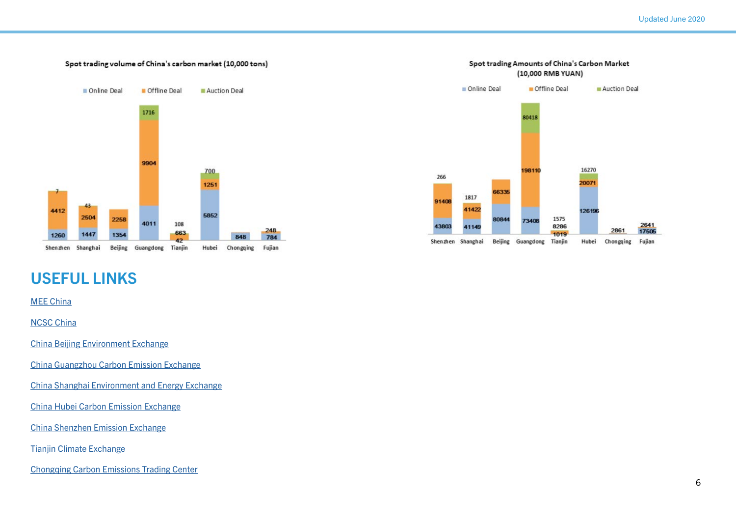### Spot trading volume of China's carbon market (10,000 tons)



#### Online Deal Offline Deal Auction Deal 80418 16270 198110 266 20071 66335 1817 91408 41422 126196 1575 80844 73408 2641<br>17505 43803 8286 41149 2861 1019 Shenzhen Shanghai Beijing Guangdong Tianjin Hubei Chongqing Fujian

Spot trading Amounts of China's Carbon Market (10,000 RMB YUAN)

### USEFUL LINKS

### [MEE China](http://english.mee.gov.cn/)

[NCSC China](http://www.ncsc.org.cn/)

[China Beijing Environment Exchange](http://www.cbeex.com.cn/)

[China Guangzhou Carbon Emission Exchange](http://www.cnemission.com/)

[China Shanghai Environment and Energy Exchange](http://www.cneeex.com/)

[China Hubei Carbon Emission Exchange](http://www.hbets.cn/)

[China Shenzhen Emission Exchange](http://www.cerx.cn/szpolicy/385.htm)

[Tianjin Climate Exchange](https://www.chinatcx.com.cn/)

[Chongqing Carbon Emissions Trading Center](https://tpf.cqggzy.com/)